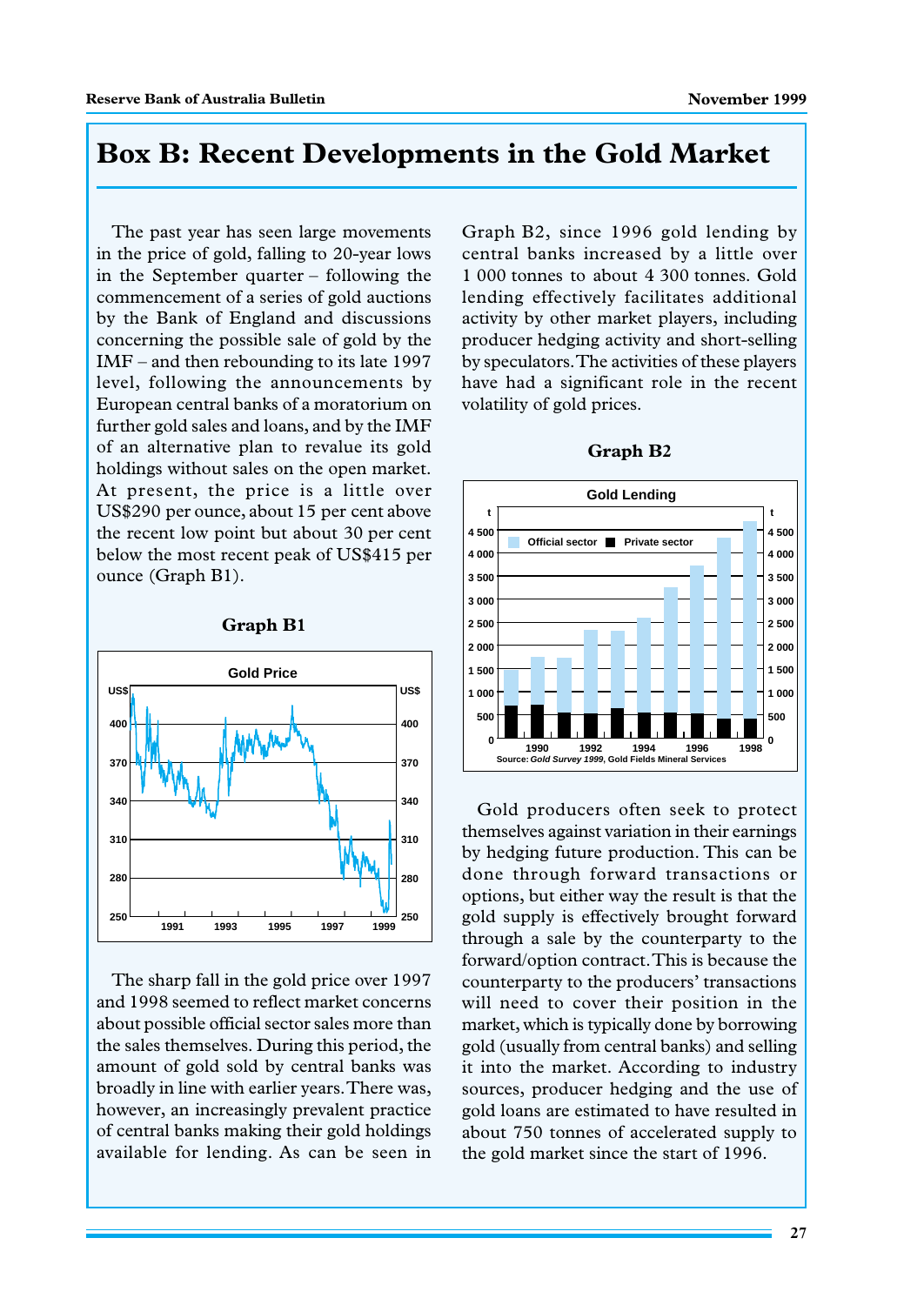## **Box B: Recent Developments in the Gold Market**

The past year has seen large movements in the price of gold, falling to 20-year lows in the September quarter – following the commencement of a series of gold auctions by the Bank of England and discussions concerning the possible sale of gold by the IMF – and then rebounding to its late 1997 level, following the announcements by European central banks of a moratorium on further gold sales and loans, and by the IMF of an alternative plan to revalue its gold holdings without sales on the open market. At present, the price is a little over US\$290 per ounce, about 15 per cent above the recent low point but about 30 per cent below the most recent peak of US\$415 per ounce (Graph B1).



**Graph B1**

The sharp fall in the gold price over 1997 and 1998 seemed to reflect market concerns about possible official sector sales more than the sales themselves. During this period, the amount of gold sold by central banks was broadly in line with earlier years. There was, however, an increasingly prevalent practice of central banks making their gold holdings available for lending. As can be seen in

Graph B2, since 1996 gold lending by central banks increased by a little over 1 000 tonnes to about 4 300 tonnes. Gold lending effectively facilitates additional activity by other market players, including producer hedging activity and short-selling by speculators. The activities of these players have had a significant role in the recent volatility of gold prices.



**Graph B2**

Gold producers often seek to protect themselves against variation in their earnings by hedging future production. This can be done through forward transactions or options, but either way the result is that the gold supply is effectively brought forward through a sale by the counterparty to the forward/option contract. This is because the counterparty to the producers' transactions will need to cover their position in the market, which is typically done by borrowing gold (usually from central banks) and selling it into the market. According to industry sources, producer hedging and the use of gold loans are estimated to have resulted in about 750 tonnes of accelerated supply to the gold market since the start of 1996.